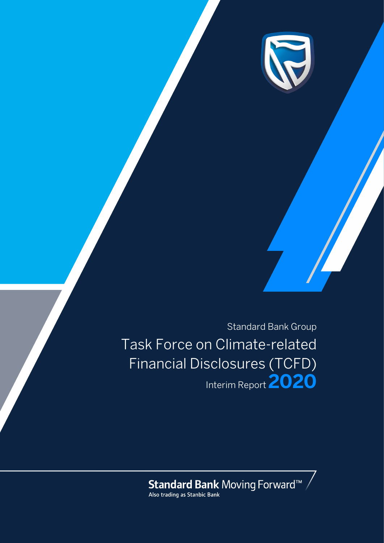

Standard Bank Group Task Force on Climate-related Financial Disclosures (TCFD) Interim Report **2020**

**Standard Bank** Moving Forward<sup>TM</sup>  $\bigwedge$  Also trading as Stanbic Bank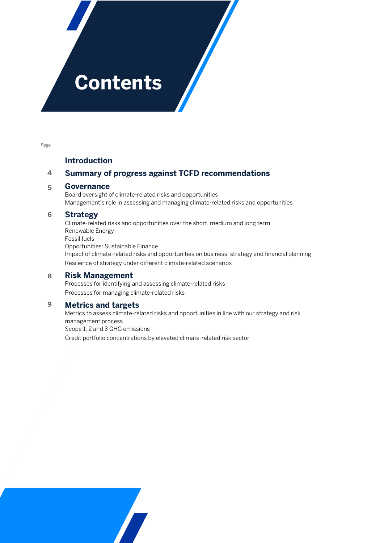# **Contents**

*Page*

### **Introduction**

#### **Summary of progress against TCFD recommendations 4**

#### **Governance 5**

Board oversight of climate-related risks and opportunities Management's role in assessing and managing climate-related risks and opportunities

#### **Strategy 6**

Climate-related risks and opportunities over the short, medium and long term Renewable Energy Fossil fuels Opportunities: Sustainable Finance Impact of climate-related risks and opportunities on business, strategy and financial planning Resilience of strategy under different climate-related scenarios

#### **Risk Management 8**

Processes for identifying and assessing climate-related risks Processes for managing climate-related risks

#### **Metrics and targets 9**

Metrics to assess climate-related risks and opportunities in line with our strategy and risk management process Scope 1, 2 and 3 GHG emissions Credit portfolio concentrations by elevated climate-related risk sector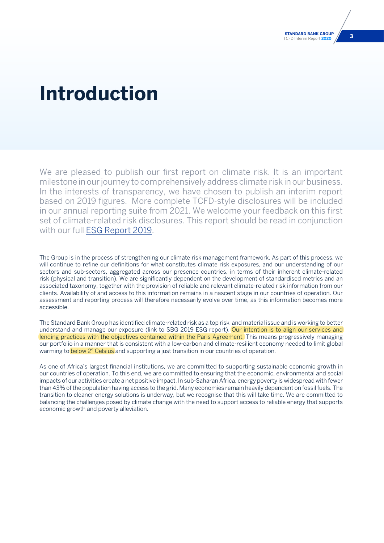## **Introduction**

We are pleased to publish our first report on climate risk. It is an important milestone in our journey to comprehensively address climate risk in our business. In the interests of transparency, we have chosen to publish an interim report based on 2019 figures. More complete TCFD-style disclosures will be included in our annual reporting suite from 2021. We welcome your feedback on this first set of climate-related risk disclosures. This report should be read in conjunction with our full [ESG Report 2019.](https://sustainability.standardbank.com/documents/esg-report-2019.pdf)

The Group is in the process of strengthening our climate risk management framework. As part of this process, we will continue to refine our definitions for what constitutes climate risk exposures, and our understanding of our sectors and sub-sectors, aggregated across our presence countries, in terms of their inherent climate-related risk (physical and transition). We are significantly dependent on the development of standardised metrics and an associated taxonomy, together with the provision of reliable and relevant climate-related risk information from our clients. Availability of and access to this information remains in a nascent stage in our countries of operation. Our assessment and reporting process will therefore necessarily evolve over time, as this information becomes more accessible.

The Standard Bank Group has identified climate-related risk as a top risk and material issue and is working to better understand and manage our exposure (link to SBG 2019 ESG report). Our intention is to align our services and lending practices with the objectives contained within the Paris Agreement. This means progressively managing our portfolio in a manner that is consistent with a low-carbon and climate-resilient economy needed to limit global warming to **below 2° Celsius** and supporting a just transition in our countries of operation.

As one of Africa's largest financial institutions, we are committed to supporting sustainable economic growth in our countries of operation. To this end, we are committed to ensuring that the economic, environmental and social impacts of our activities create a net positive impact. In sub-Saharan Africa, energy poverty is widespread with fewer than 43% of the population having access to the grid. Many economies remain heavily dependent on fossil fuels. The transition to cleaner energy solutions is underway, but we recognise that this will take time. We are committed to balancing the challenges posed by climate change with the need to support access to reliable energy that supports economic growth and poverty alleviation.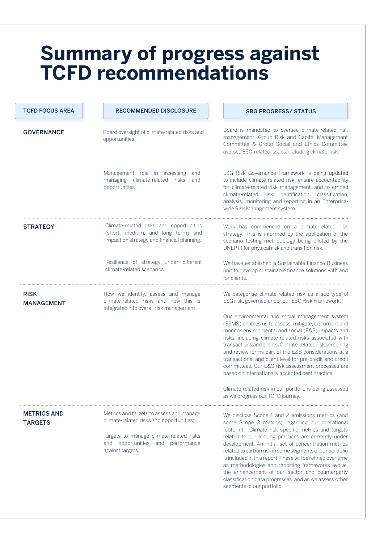## **Summary of progress against TCFD recommendations**

| <b>TCFD FOCUS AREA</b>               | <b>RECOMMENDED DISCLOSURE</b>                                                                                                                                                           | <b>SBG PROGRESS/ STATUS</b>                                                                                                                                                                                                                                                                                                                                                                                                                                                                                                                                                                           |
|--------------------------------------|-----------------------------------------------------------------------------------------------------------------------------------------------------------------------------------------|-------------------------------------------------------------------------------------------------------------------------------------------------------------------------------------------------------------------------------------------------------------------------------------------------------------------------------------------------------------------------------------------------------------------------------------------------------------------------------------------------------------------------------------------------------------------------------------------------------|
| <b>GOVERNANCE</b>                    | Board oversight of climate-related risks and<br>opportunities                                                                                                                           | Board is mandated to oversee climate-related risk<br>management; Group Risk and Capital Management<br>Committee & Group Social and Ethics Committee<br>oversee ESG-related issues, including climate-risk.                                                                                                                                                                                                                                                                                                                                                                                            |
|                                      | Management role in assessing<br>and<br>managing climate-related<br>risks<br>and<br>opportunities                                                                                        | ESG Risk Governance Framework is being updated<br>to include climate-related risk, ensure accountability<br>for climate-related risk management, and to embed<br>climate-related risk identification, classification,<br>analysis, monitoring and reporting in an Enterprise-<br>wide Risk Management system.                                                                                                                                                                                                                                                                                         |
| <b>STRATEGY</b>                      | Climate-related risks and opportunities<br>(short, medium, and long term) and<br>impact on strategy and financial planning.                                                             | Work has commenced on a climate-related risk<br>strategy. This is informed by the application of the<br>scenario testing methodology being piloted by the<br>UNEP FI for physical risk and transition risk.                                                                                                                                                                                                                                                                                                                                                                                           |
|                                      | Resilience of strategy under different<br>climate-related scenarios.                                                                                                                    | We have established a Sustainable Finance Business<br>unit to develop sustainable finance solutions with and<br>for clients.                                                                                                                                                                                                                                                                                                                                                                                                                                                                          |
| <b>RISK</b><br><b>MANAGEMENT</b>     | How we identify, assess and manage<br>climate-related risks and how this is<br>integrated into overall risk management                                                                  | We categorise climate-related risk as a sub-type of<br>ESG risk, governed under our ESG Risk Framework.                                                                                                                                                                                                                                                                                                                                                                                                                                                                                               |
|                                      |                                                                                                                                                                                         | Our environmental and social management system<br>(ESMS) enables us to assess, mitigate, document and<br>monitor environmental and social (E&S) impacts and<br>risks, including climate-related risks associated with<br>transactions and clients. Climate-related risk screening<br>and review forms part of the E&S considerations at a<br>transactional and client level for pre-credit and credit<br>committees. Our E&S risk assessment processes are<br>based on internationally accepted best practice.                                                                                        |
|                                      |                                                                                                                                                                                         | Climate-related risk in our portfolio is being assessed<br>as we progress our TCFD journey.                                                                                                                                                                                                                                                                                                                                                                                                                                                                                                           |
| <b>METRICS AND</b><br><b>TARGETS</b> | Metrics and targets to assess and manage<br>climate-related risks and opportunities;<br>Targets to manage climate-related risks<br>and opportunities and performance<br>against targets | We disclose Scope 1 and 2 emissions metrics (and<br>some Scope 3 metrics) regarding our operational<br>footprint. Climate risk specific metrics and targets<br>related to our lending practices are currently under<br>development. An initial set of concentration metrics<br>related to carbon risk in some segments of our portfolio<br>is included in this report. These will be refined over time<br>as methodologies and reporting frameworks evolve,<br>the enhancement of our sector and counterparty<br>classification data progresses, and as we assess other<br>segments of our portfolio. |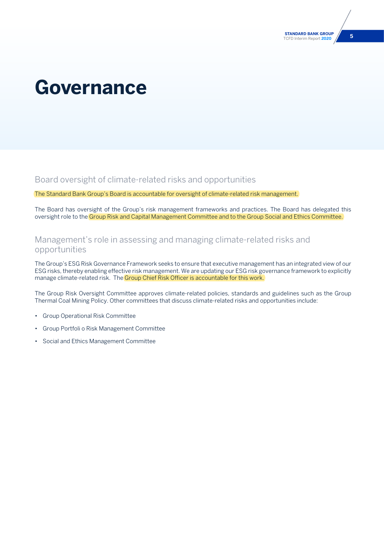# **Governance**

Board oversight of climate-related risks and opportunities

The Standard Bank Group's Board is accountable for oversight of climate-related risk management.

The Board has oversight of the Group's risk management frameworks and practices. The Board has delegated this oversight role to the Group Risk and Capital Management Committee and to the Group Social and Ethics Committee.

## Management's role in assessing and managing climate-related risks and opportunities

The Group's ESG Risk Governance Framework seeks to ensure that executive management has an integrated view of our ESG risks, thereby enabling effective risk management. We are updating our ESG risk governance framework to explicitly manage climate-related risk. The Group Chief Risk Officer is accountable for this work.

The Group Risk Oversight Committee approves climate-related policies, standards and guidelines such as the Group Thermal Coal Mining Policy. Other committees that discuss climate-related risks and opportunities include:

- Group Operational Risk Committee
- Group Portfoli o Risk Management Committee
- Social and Ethics Management Committee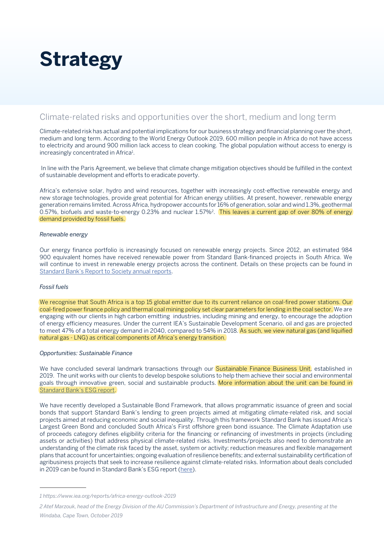# **Strategy**

## Climate-related risks and opportunities over the short, medium and long term

Climate-related risk has actual and potential implications for our business strategy and financial planning over the short, medium and long term. According to the World Energy Outlook 2019, 600 million people in Africa do not have access to electricity and around 900 million lack access to clean cooking. The global population without access to energy is increasingly concentrated in Africa<sup>1</sup>.

 In line with the Paris Agreement, we believe that climate change mitigation objectives should be fulfilled in the context of sustainable development and efforts to eradicate poverty.

Africa's extensive solar, hydro and wind resources, together with increasingly cost-effective renewable energy and new storage technologies, provide great potential for African energy utilities. At present, however, renewable energy generation remains limited. Across Africa, hydropower accounts for 16% of generation, solar and wind 1.3%, geothermal 0.57%, biofuels and waste-to-energy 0.23% and nuclear 1.57%<sup>2</sup>. This leaves a current gap of over 80% of energy demand provided by fossil fuels.

### *Renewable energy*

Our energy finance portfolio is increasingly focused on renewable energy projects. Since 2012, an estimated 984 900 equivalent homes have received renewable power from Standard Bank-financed projects in South Africa. We will continue to invest in renewable energy projects across the continent. Details on these projects can be found in [Standard Bank's Report to Society annual reports.](https://sustainability.standardbank.com/)

### *Fossil fuels*

We recognise that South Africa is a top 15 global emitter due to its current reliance on coal-fired power stations. Our coal-fired power finance policy and thermal coal mining policy set clear parameters for lending in the coal sector. We are engaging with our clients in high carbon emitting industries, including mining and energy, to encourage the adoption of energy efficiency measures. Under the current IEA's Sustainable Development Scenario, oil and gas are projected to meet 47% of a total energy demand in 2040, compared to 54% in 2018. As such, we view natural gas (and liquified natural gas - LNG) as critical components of Africa's energy transition.

### *Opportunities: Sustainable Finance*

We have concluded several landmark transactions through our **Sustainable Finance Business Unit**, established in 2019. The unit works with our clients to develop bespoke solutions to help them achieve their social and environmental goals through innovative green, social and sustainable products. More information about the unit can be found in [Standard Bank's ESG report.](https://sustainability.standardbank.com/esg-sustainable-finance/)

We have recently developed a Sustainable Bond Framework, that allows programmatic issuance of green and social bonds that support Standard Bank's lending to green projects aimed at mitigating climate-related risk, and social projects aimed at reducing economic and social inequality. Through this framework Standard Bank has issued Africa's Largest Green Bond and concluded South Africa's First offshore green bond issuance. The Climate Adaptation use of proceeds category defines eligibility criteria for the financing or refinancing of investments in projects (including assets or activities) that address physical climate-related risks. Investments/projects also need to demonstrate an understanding of the climate risk faced by the asset, system or activity; reduction measures and flexible management plans that account for uncertainties; ongoing evaluation of resilience benefits; and external sustainability certification of agribusiness projects that seek to increase resilience against climate-related risks. Information about deals concluded in 2019 can be found in Standard Bank's ESG report ([here\)](https://sustainability.standardbank.com/documents/esg-report-2019.pdf).

*<sup>1</sup> https://www.iea.org/reports/africa-energy-outlook-2019*

*<sup>2</sup> Atef Marzouk, head of the Energy Division of the AU Commission's Department of Infrastructure and Energy, presenting at the*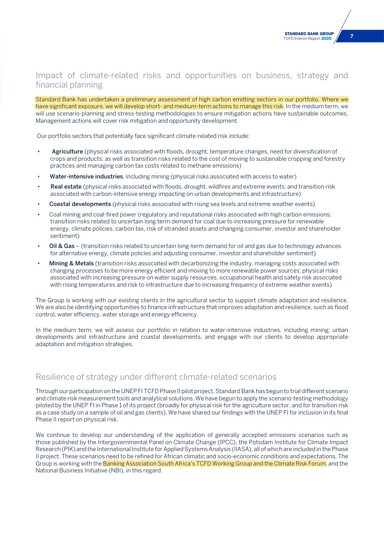## Impact of climate-related risks and opportunities on business, strategy and financial planning

Standard Bank has undertaken a preliminary assessment of high carbon emitting sectors in our portfolio. Where we have significant exposure, we will develop short- and medium-term actions to manage this risk. In the medium term, we will use scenario-planning and stress-testing methodologies to ensure mitigation actions have sustainable outcomes. Management actions will cover risk mitigation and opportunity development.

Our portfolio sectors that potentially face significant climate-related risk include:

- Agriculture (physical risks associated with floods, drought, temperature changes, need for diversification of crops and products; as well as transition risks related to the cost of moving to sustainable cropping and forestry practices and managing carbon tax costs related to methane emissions)
- Water-intensive industries, including mining (physical risks associated with access to water)
- Real estate (physical risks associated with floods, drought, wildfires and extreme events; and transition risk associated with carbon-intensive energy impacting on urban developments and infrastructure)
- Coastal developments (physical risks associated with rising sea levels and extreme weather events)
- Coal mining and coal-fired power (regulatory and reputational risks associated with high carbon emissions; transition risks related to uncertain long term demand for coal due to increasing pressure for renewable energy, climate policies, carbon tax, risk of stranded assets and changing consumer, investor and shareholder sentiment)
- Oil & Gas (transition risks related to uncertain long-term demand for oil and gas due to technology advances for alternative energy, climate policies and adjusting consumer, investor and shareholder sentiment)
- Mining & Metals (transition risks associated with decarbonizing the industry, managing costs associated with changing processes to be more energy efficient and moving to more renewable power sources; physical risks associated with increasing pressure on water supply resources, occupational health and safety risk associated with rising temperatures and risk to infrastructure due to increasing frequency of extreme weather events)

The Group is working with our existing clients in the agricultural sector to support climate adaptation and resilience. We are also be identifying opportunities to finance infrastructure that improves adaptation and resilience, such as flood control, water efficiency, water storage and energy efficiency.

In the medium term, we will assess our portfolio in relation to water-intensive industries, including mining; urban developments and infrastructure and coastal developments, and engage with our clients to develop appropriate adaptation and mitigation strategies.

## Resilience of strategy under different climate-related scenarios

Through our participation on the UNEP FI TCFD Phase II pilot project, Standard Bank has begun to trial different scenario and climate risk measurement tools and analytical solutions. We have begun to apply the scenario-testing methodology piloted by the UNEP FI in Phase 1 of its project (broadly for physical risk for the agriculture sector, and for transition risk as a case study on a sample of oil and gas clients). We have shared our findings with the UNEP FI for inclusion in its final Phase II report on physical risk.

We continue to develop our understanding of the application of generally accepted emissions scenarios such as those published by the Intergovernmental Panel on Climate Change (IPCC), the Potsdam Institute for Climate Impact Research (PIK) and the International Institute for Applied Systems Analysis (IIASA), all of which are included in the Phase II project. These scenarios need to be refined for African climatic and socio-economic conditions and expectations. The Group is working with the Banking Association South Africa's TCFD Working Group and the Climate Risk Forum, and the National Business Initiative (NBI), in this regard.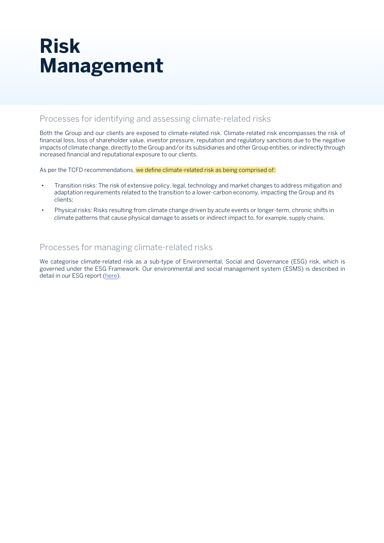# **Risk Management**

## Processes for identifying and assessing climate-related risks

Both the Group and our clients are exposed to climate-related risk. Climate-related risk encompasses the risk of financial loss, loss of shareholder value, investor pressure, reputation and regulatory sanctions due to the negative impacts of climate change, directly to the Group and/or its subsidiaries and other Group entities, or indirectly through increased financial and reputational exposure to our clients.

As per the TCFD recommendations, we define climate-related risk as being comprised of:

- Transition risks: The risk of extensive policy, legal, technology and market changes to address mitigation and adaptation requirements related to the transition to a lower-carbon economy, impacting the Group and its clients;
- Physical risks: Risks resulting from climate change driven by acute events or longer-term, chronic shifts in climate patterns that cause physical damage to assets or indirect impact to, for example, supply chains.

## Processes for managing climate-related risks

We categorise climate-related risk as a sub-type of Environmental, Social and Governance (ESG) risk, which is governed under the ESG Framework. Our environmental and social management system (ESMS) is described in detail in our ESG report ([here\)](https://sustainability.standardbank.com/esg-managing-our-enviromental-and-social-risks/).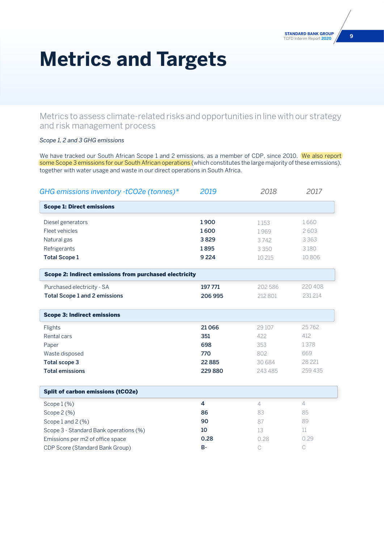# **Metrics and Targets**

Metrics to assess climate-related risks and opportunities in line with our strategy and risk management process

### *Scope 1, 2 and 3 GHG emissions*

We have tracked our South African Scope 1 and 2 emissions, as a member of CDP, since 2010. We also report some Scope 3 emissions for our South African operations (which constitutes the large majority of these emissions), together with water usage and waste in our direct operations in South Africa.

| GHG emissions inventory -tCO2e (tonnes)*               | 2019      | 2018           | 2017           |
|--------------------------------------------------------|-----------|----------------|----------------|
| <b>Scope 1: Direct emissions</b>                       |           |                |                |
| Diesel generators                                      | 1900      | 1153           | 1660           |
| Fleet vehicles                                         | 1600      | 1969           | 2603           |
| Natural gas                                            | 3829      | 3742           | 3 3 6 3        |
| Refrigerants                                           | 1895      | 3350           | 3180           |
| <b>Total Scope 1</b>                                   | 9 2 2 4   | 10 215         | 10 806         |
| Scope 2: Indirect emissions from purchased electricity |           |                |                |
| Purchased electricity - SA                             | 197 771   | 202 586        | 220 408        |
| <b>Total Scope 1 and 2 emissions</b>                   | 206 995   | 212 801        | 231 214        |
| <b>Scope 3: Indirect emissions</b>                     |           |                |                |
| Flights                                                | 21 0 66   | 29 10 7        | 25762          |
| Rental cars                                            | 351       | 422            | 412            |
| Paper                                                  | 698       | 353            | 1378           |
| Waste disposed                                         | 770       | 802            | 669            |
| Total scope 3                                          | 22 8 8 5  | 30 684         | 28 2 21        |
| <b>Total emissions</b>                                 | 229 880   | 243 485        | 259 435        |
| <b>Split of carbon emissions (tCO2e)</b>               |           |                |                |
| Scope $1$ (%)                                          | 4         | $\overline{4}$ | $\overline{4}$ |
| Scope 2 (%)                                            | 86        | 83             | 85             |
| Scope 1 and 2 (%)                                      | 90        | 87             | 89             |
| Scope 3 - Standard Bank operations (%)                 | 10        | 13             | 11             |
| Emissions per m2 of office space                       | 0.28      | 0.28           | 0.29           |
| CDP Score (Standard Bank Group)                        | <b>B-</b> | C              | $\mathsf C$    |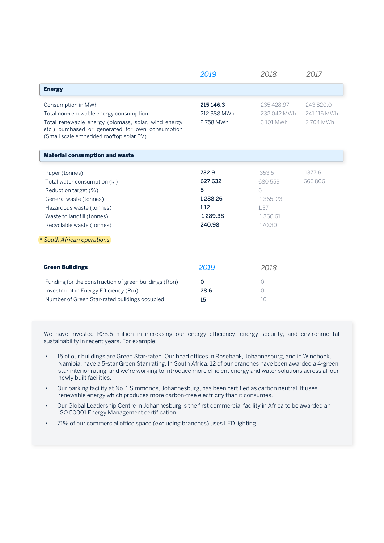|                                                                                                                                                                                                                       | 2019                                                          | 2018                                                          | 2017                                 |
|-----------------------------------------------------------------------------------------------------------------------------------------------------------------------------------------------------------------------|---------------------------------------------------------------|---------------------------------------------------------------|--------------------------------------|
| <b>Energy</b>                                                                                                                                                                                                         |                                                               |                                                               |                                      |
| Consumption in MWh<br>Total non-renewable energy consumption<br>Total renewable energy (biomass, solar, wind energy<br>etc.) purchased or generated for own consumption<br>(Small scale embedded rooftop solar PV)    | 215 146.3<br>212 388 MWh<br>2758 MWh                          | 235 428.97<br>232 042 MWh<br>3101 MWh                         | 243 820.0<br>241 116 MWh<br>2704 MWh |
| <b>Material consumption and waste</b>                                                                                                                                                                                 |                                                               |                                                               |                                      |
| Paper (tonnes)<br>Total water consumption (kl)<br>Reduction target (%)<br>General waste (tonnes)<br>Hazardous waste (tonnes)<br>Waste to landfill (tonnes)<br>Recyclable waste (tonnes)<br>* South African operations | 732.9<br>627 632<br>8<br>1288.26<br>1.12<br>1289.38<br>240.98 | 353.5<br>680 559<br>6<br>1365.23<br>1.37<br>1366.61<br>170.30 | 1377.6<br>666806                     |
| <b>Green Buildings</b>                                                                                                                                                                                                | 2019                                                          | 2018                                                          |                                      |
| Funding for the construction of green buildings (Rbn)<br>Investment in Energy Efficiency (Rm)<br>Number of Green Star-rated buildings occupied                                                                        | $\mathbf 0$<br>28.6<br>15                                     | $\circ$<br>$\circ$<br>16                                      |                                      |

We have invested R28.6 million in increasing our energy efficiency, energy security, and environmental sustainability in recent years. For example:

- 15 of our buildings are Green Star-rated. Our head offices in Rosebank, Johannesburg, and in Windhoek, Namibia, have a 5-star Green Star rating. In South Africa, 12 of our branches have been awarded a 4-green star interior rating, and we're working to introduce more efficient energy and water solutions across all our newly built facilities.
- Our parking facility at No. 1 Simmonds, Johannesburg, has been certified as carbon neutral. It uses renewable energy which produces more carbon-free electricity than it consumes.
- Our Global Leadership Centre in Johannesburg is the first commercial facility in Africa to be awarded an ISO 50001 Energy Management certification.
- 71% of our commercial office space (excluding branches) uses LED lighting.